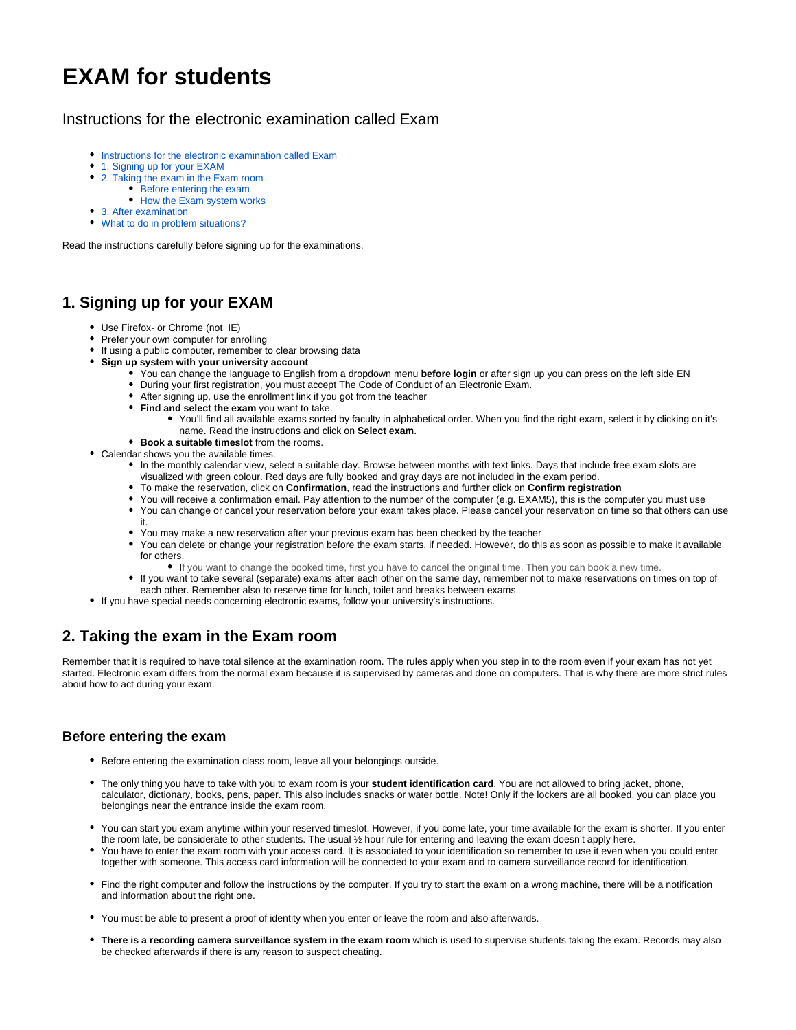# **EXAM for students**

#### <span id="page-0-0"></span>Instructions for the electronic examination called Exam

- [Instructions for the electronic examination called Exam](#page-0-0)
- [1. Signing up for your EXAM](#page-0-1)
- [2. Taking the exam in the Exam room](#page-0-2)
	- [Before entering the exam](#page-0-3)
	- [How the Exam system works](#page-0-4)
- [3. After examination](#page-1-0)
- [What to do in problem situations?](#page-1-1)

Read the instructions carefully before signing up for the examinations.

### <span id="page-0-1"></span>**1. Signing up for your EXAM**

- Use Firefox- or Chrome (not IE)
- Prefer your own computer for enrolling
- If using a public computer, remember to clear browsing data
- **Sign up system with your university account**
	- You can change the language to English from a dropdown menu **before login** or after sign up you can press on the left side EN
	- During your first registration, you must accept The Code of Conduct of an Electronic Exam.
	- After signing up, use the enrollment link if you got from the teacher
	- **Find and select the exam** you want to take.
		- You'll find all available exams sorted by faculty in alphabetical order. When you find the right exam, select it by clicking on it's name. Read the instructions and click on **Select exam**.
	- **Book a suitable timeslot** from the rooms.
- Calendar shows you the available times.
	- In the monthly calendar view, select a suitable day. Browse between months with text links. Days that include free exam slots are visualized with green colour. Red days are fully booked and gray days are not included in the exam period.
	- To make the reservation, click on **Confirmation**, read the instructions and further click on **Confirm registration**
	- You will receive a confirmation email. Pay attention to the number of the computer (e.g. EXAM5), this is the computer you must use
	- You can change or cancel your reservation before your exam takes place. Please cancel your reservation on time so that others can use it.
	- You may make a new reservation after your previous exam has been checked by the teacher
	- You can delete or change your registration before the exam starts, if needed. However, do this as soon as possible to make it available for others.
		- If you want to change the booked time, first you have to cancel the original time. Then you can book a new time.
	- If you want to take several (separate) exams after each other on the same day, remember not to make reservations on times on top of each other. Remember also to reserve time for lunch, toilet and breaks between exams
- If you have special needs concerning electronic exams, follow your university's instructions.

## <span id="page-0-2"></span>**2. Taking the exam in the Exam room**

Remember that it is required to have total silence at the examination room. The rules apply when you step in to the room even if your exam has not yet started. Electronic exam differs from the normal exam because it is supervised by cameras and done on computers. That is why there are more strict rules about how to act during your exam.

#### <span id="page-0-3"></span>**Before entering the exam**

- Before entering the examination class room, leave all your belongings outside.
- The only thing you have to take with you to exam room is your **student identification card**. You are not allowed to bring jacket, phone, calculator, dictionary, books, pens, paper. This also includes snacks or water bottle. Note! Only if the lockers are all booked, you can place you belongings near the entrance inside the exam room.
- You can start you exam anytime within your reserved timeslot. However, if you come late, your time available for the exam is shorter. If you enter the room late, be considerate to other students. The usual ½ hour rule for entering and leaving the exam doesn't apply here.
- You have to enter the exam room with your access card. It is associated to your identification so remember to use it even when you could enter together with someone. This access card information will be connected to your exam and to camera surveillance record for identification.
- Find the right computer and follow the instructions by the computer. If you try to start the exam on a wrong machine, there will be a notification and information about the right one.
- You must be able to present a proof of identity when you enter or leave the room and also afterwards.
- <span id="page-0-4"></span>**There is a recording camera surveillance system in the exam room** which is used to supervise students taking the exam. Records may also be checked afterwards if there is any reason to suspect cheating.